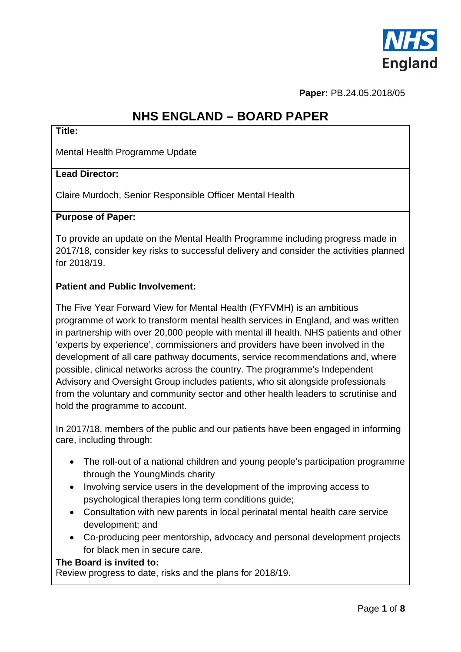

**Paper:** PB.24.05.2018/05

# **NHS ENGLAND – BOARD PAPER**

#### **Title:**

Mental Health Programme Update

#### **Lead Director:**

Claire Murdoch, Senior Responsible Officer Mental Health

#### **Purpose of Paper:**

To provide an update on the Mental Health Programme including progress made in 2017/18, consider key risks to successful delivery and consider the activities planned for 2018/19.

#### **Patient and Public Involvement:**

The Five Year Forward View for Mental Health (FYFVMH) is an ambitious programme of work to transform mental health services in England, and was written in partnership with over 20,000 people with mental ill health. NHS patients and other 'experts by experience', commissioners and providers have been involved in the development of all care pathway documents, service recommendations and, where possible, clinical networks across the country. The programme's Independent Advisory and Oversight Group includes patients, who sit alongside professionals from the voluntary and community sector and other health leaders to scrutinise and hold the programme to account.

In 2017/18, members of the public and our patients have been engaged in informing care, including through:

- The roll-out of a national children and young people's participation programme through the YoungMinds charity
- Involving service users in the development of the improving access to psychological therapies long term conditions guide;
- Consultation with new parents in local perinatal mental health care service development; and
- Co-producing peer mentorship, advocacy and personal development projects for black men in secure care.

#### **The Board is invited to:**

Review progress to date, risks and the plans for 2018/19.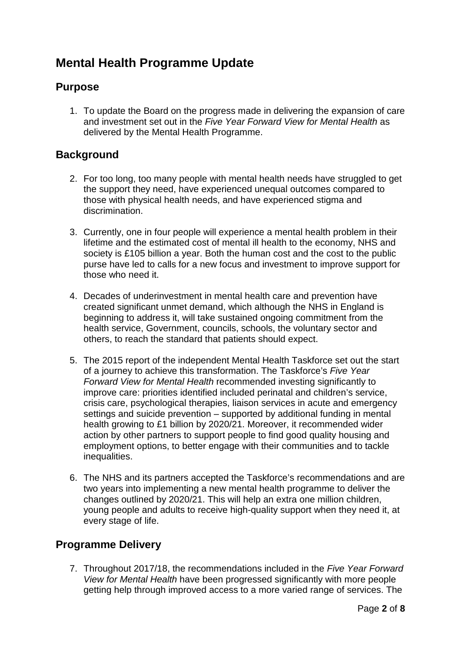# **Mental Health Programme Update**

## **Purpose**

1. To update the Board on the progress made in delivering the expansion of care and investment set out in the *Five Year Forward View for Mental Health* as delivered by the Mental Health Programme.

## **Background**

- 2. For too long, too many people with mental health needs have struggled to get the support they need, have experienced unequal outcomes compared to those with physical health needs, and have experienced stigma and discrimination.
- 3. Currently, one in four people will experience a mental health problem in their lifetime and the estimated cost of mental ill health to the economy, NHS and society is £105 billion a year. Both the human cost and the cost to the public purse have led to calls for a new focus and investment to improve support for those who need it.
- 4. Decades of underinvestment in mental health care and prevention have created significant unmet demand, which although the NHS in England is beginning to address it, will take sustained ongoing commitment from the health service, Government, councils, schools, the voluntary sector and others, to reach the standard that patients should expect.
- 5. The 2015 report of the independent Mental Health Taskforce set out the start of a journey to achieve this transformation. The Taskforce's *Five Year Forward View for Mental Health* recommended investing significantly to improve care: priorities identified included perinatal and children's service, crisis care, psychological therapies, liaison services in acute and emergency settings and suicide prevention – supported by additional funding in mental health growing to £1 billion by 2020/21. Moreover, it recommended wider action by other partners to support people to find good quality housing and employment options, to better engage with their communities and to tackle inequalities.
- 6. The NHS and its partners accepted the Taskforce's recommendations and are two years into implementing a new mental health programme to deliver the changes outlined by 2020/21. This will help an extra one million children, young people and adults to receive high-quality support when they need it, at every stage of life.

### **Programme Delivery**

7. Throughout 2017/18, the recommendations included in the *Five Year Forward View for Mental Health* have been progressed significantly with more people getting help through improved access to a more varied range of services. The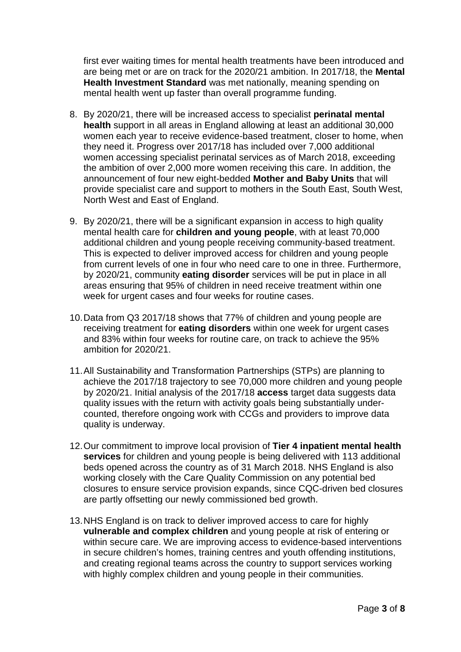first ever waiting times for mental health treatments have been introduced and are being met or are on track for the 2020/21 ambition. In 2017/18, the **Mental Health Investment Standard** was met nationally, meaning spending on mental health went up faster than overall programme funding.

- 8. By 2020/21, there will be increased access to specialist **perinatal mental health** support in all areas in England allowing at least an additional 30,000 women each year to receive evidence-based treatment, closer to home, when they need it. Progress over 2017/18 has included over 7,000 additional women accessing specialist perinatal services as of March 2018, exceeding the ambition of over 2,000 more women receiving this care. In addition, the announcement of four new eight-bedded **Mother and Baby Units** that will provide specialist care and support to mothers in the South East, South West, North West and East of England.
- 9. By 2020/21, there will be a significant expansion in access to high quality mental health care for **children and young people**, with at least 70,000 additional children and young people receiving community-based treatment. This is expected to deliver improved access for children and young people from current levels of one in four who need care to one in three. Furthermore, by 2020/21, community **eating disorder** services will be put in place in all areas ensuring that 95% of children in need receive treatment within one week for urgent cases and four weeks for routine cases.
- 10.Data from Q3 2017/18 shows that 77% of children and young people are receiving treatment for **eating disorders** within one week for urgent cases and 83% within four weeks for routine care, on track to achieve the 95% ambition for 2020/21.
- 11.All Sustainability and Transformation Partnerships (STPs) are planning to achieve the 2017/18 trajectory to see 70,000 more children and young people by 2020/21. Initial analysis of the 2017/18 **access** target data suggests data quality issues with the return with activity goals being substantially undercounted, therefore ongoing work with CCGs and providers to improve data quality is underway.
- 12.Our commitment to improve local provision of **Tier 4 inpatient mental health services** for children and young people is being delivered with 113 additional beds opened across the country as of 31 March 2018. NHS England is also working closely with the Care Quality Commission on any potential bed closures to ensure service provision expands, since CQC-driven bed closures are partly offsetting our newly commissioned bed growth.
- 13.NHS England is on track to deliver improved access to care for highly **vulnerable and complex children** and young people at risk of entering or within secure care. We are improving access to evidence-based interventions in secure children's homes, training centres and youth offending institutions, and creating regional teams across the country to support services working with highly complex children and young people in their communities.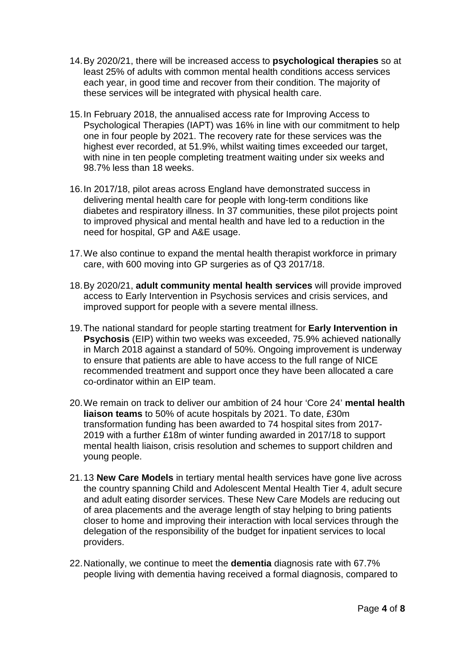- 14.By 2020/21, there will be increased access to **psychological therapies** so at least 25% of adults with common mental health conditions access services each year, in good time and recover from their condition. The majority of these services will be integrated with physical health care.
- 15.In February 2018, the annualised access rate for Improving Access to Psychological Therapies (IAPT) was 16% in line with our commitment to help one in four people by 2021. The recovery rate for these services was the highest ever recorded, at 51.9%, whilst waiting times exceeded our target, with nine in ten people completing treatment waiting under six weeks and 98.7% less than 18 weeks.
- 16.In 2017/18, pilot areas across England have demonstrated success in delivering mental health care for people with long-term conditions like diabetes and respiratory illness. In 37 communities, these pilot projects point to improved physical and mental health and have led to a reduction in the need for hospital, GP and A&E usage.
- 17.We also continue to expand the mental health therapist workforce in primary care, with 600 moving into GP surgeries as of Q3 2017/18.
- 18.By 2020/21, **adult community mental health services** will provide improved access to Early Intervention in Psychosis services and crisis services, and improved support for people with a severe mental illness.
- 19.The national standard for people starting treatment for **Early Intervention in Psychosis** (EIP) within two weeks was exceeded, 75.9% achieved nationally in March 2018 against a standard of 50%. Ongoing improvement is underway to ensure that patients are able to have access to the full range of NICE recommended treatment and support once they have been allocated a care co-ordinator within an EIP team.
- 20.We remain on track to deliver our ambition of 24 hour 'Core 24' **mental health liaison teams** to 50% of acute hospitals by 2021. To date, £30m transformation funding has been awarded to 74 hospital sites from 2017- 2019 with a further £18m of winter funding awarded in 2017/18 to support mental health liaison, crisis resolution and schemes to support children and young people.
- 21.13 **New Care Models** in tertiary mental health services have gone live across the country spanning Child and Adolescent Mental Health Tier 4, adult secure and adult eating disorder services. These New Care Models are reducing out of area placements and the average length of stay helping to bring patients closer to home and improving their interaction with local services through the delegation of the responsibility of the budget for inpatient services to local providers.
- 22.Nationally, we continue to meet the **dementia** diagnosis rate with 67.7% people living with dementia having received a formal diagnosis, compared to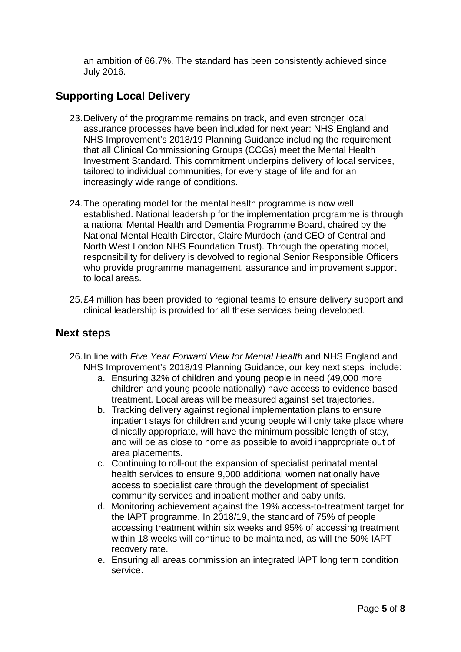an ambition of 66.7%. The standard has been consistently achieved since July 2016.

# **Supporting Local Delivery**

- 23.Delivery of the programme remains on track, and even stronger local assurance processes have been included for next year: NHS England and NHS Improvement's 2018/19 Planning Guidance including the requirement that all Clinical Commissioning Groups (CCGs) meet the Mental Health Investment Standard. This commitment underpins delivery of local services, tailored to individual communities, for every stage of life and for an increasingly wide range of conditions.
- 24.The operating model for the mental health programme is now well established. National leadership for the implementation programme is through a national Mental Health and Dementia Programme Board, chaired by the National Mental Health Director, Claire Murdoch (and CEO of Central and North West London NHS Foundation Trust). Through the operating model, responsibility for delivery is devolved to regional Senior Responsible Officers who provide programme management, assurance and improvement support to local areas.
- 25.£4 million has been provided to regional teams to ensure delivery support and clinical leadership is provided for all these services being developed.

### **Next steps**

- 26.In line with *Five Year Forward View for Mental Health* and NHS England and NHS Improvement's 2018/19 Planning Guidance, our key next steps include:
	- a. Ensuring 32% of children and young people in need (49,000 more children and young people nationally) have access to evidence based treatment. Local areas will be measured against set trajectories.
	- b. Tracking delivery against regional implementation plans to ensure inpatient stays for children and young people will only take place where clinically appropriate, will have the minimum possible length of stay, and will be as close to home as possible to avoid inappropriate out of area placements.
	- c. Continuing to roll-out the expansion of specialist perinatal mental health services to ensure 9,000 additional women nationally have access to specialist care through the development of specialist community services and inpatient mother and baby units.
	- d. Monitoring achievement against the 19% access-to-treatment target for the IAPT programme. In 2018/19, the standard of 75% of people accessing treatment within six weeks and 95% of accessing treatment within 18 weeks will continue to be maintained, as will the 50% IAPT recovery rate.
	- e. Ensuring all areas commission an integrated IAPT long term condition service.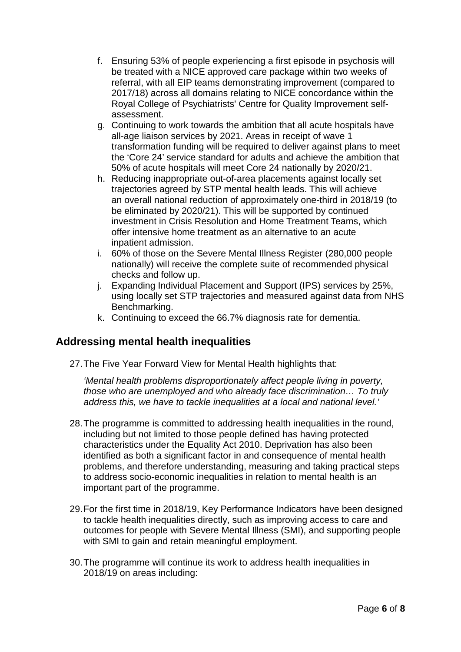- f. Ensuring 53% of people experiencing a first episode in psychosis will be treated with a NICE approved care package within two weeks of referral, with all EIP teams demonstrating improvement (compared to 2017/18) across all domains relating to NICE concordance within the Royal College of Psychiatrists' Centre for Quality Improvement selfassessment.
- g. Continuing to work towards the ambition that all acute hospitals have all-age liaison services by 2021. Areas in receipt of wave 1 transformation funding will be required to deliver against plans to meet the 'Core 24' service standard for adults and achieve the ambition that 50% of acute hospitals will meet Core 24 nationally by 2020/21.
- h. Reducing inappropriate out-of-area placements against locally set trajectories agreed by STP mental health leads. This will achieve an overall national reduction of approximately one-third in 2018/19 (to be eliminated by 2020/21). This will be supported by continued investment in Crisis Resolution and Home Treatment Teams, which offer intensive home treatment as an alternative to an acute inpatient admission.
- i. 60% of those on the Severe Mental Illness Register (280,000 people nationally) will receive the complete suite of recommended physical checks and follow up.
- j. Expanding Individual Placement and Support (IPS) services by 25%, using locally set STP trajectories and measured against data from NHS Benchmarking.
- k. Continuing to exceed the 66.7% diagnosis rate for dementia.

## **Addressing mental health inequalities**

27.The Five Year Forward View for Mental Health highlights that:

*'Mental health problems disproportionately affect people living in poverty, those who are unemployed and who already face discrimination… To truly address this, we have to tackle inequalities at a local and national level.'* 

- 28.The programme is committed to addressing health inequalities in the round, including but not limited to those people defined has having protected characteristics under the Equality Act 2010. Deprivation has also been identified as both a significant factor in and consequence of mental health problems, and therefore understanding, measuring and taking practical steps to address socio-economic inequalities in relation to mental health is an important part of the programme.
- 29.For the first time in 2018/19, Key Performance Indicators have been designed to tackle health inequalities directly, such as improving access to care and outcomes for people with Severe Mental Illness (SMI), and supporting people with SMI to gain and retain meaningful employment.
- 30.The programme will continue its work to address health inequalities in 2018/19 on areas including: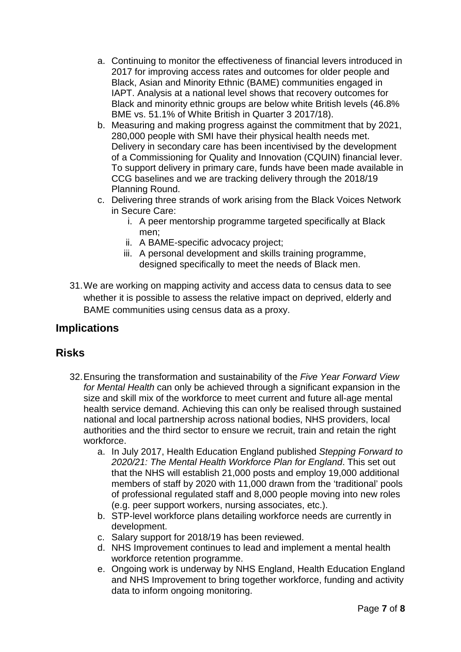- a. Continuing to monitor the effectiveness of financial levers introduced in 2017 for improving access rates and outcomes for older people and Black, Asian and Minority Ethnic (BAME) communities engaged in IAPT. Analysis at a national level shows that recovery outcomes for Black and minority ethnic groups are below white British levels (46.8% BME vs. 51.1% of White British in Quarter 3 2017/18).
- b. Measuring and making progress against the commitment that by 2021, 280,000 people with SMI have their physical health needs met. Delivery in secondary care has been incentivised by the development of a Commissioning for Quality and Innovation (CQUIN) financial lever. To support delivery in primary care, funds have been made available in CCG baselines and we are tracking delivery through the 2018/19 Planning Round.
- c. Delivering three strands of work arising from the Black Voices Network in Secure Care:
	- i. A peer mentorship programme targeted specifically at Black men;
	- ii. A BAME-specific advocacy project;
	- iii. A personal development and skills training programme, designed specifically to meet the needs of Black men.
- 31.We are working on mapping activity and access data to census data to see whether it is possible to assess the relative impact on deprived, elderly and BAME communities using census data as a proxy.

## **Implications**

## **Risks**

- 32.Ensuring the transformation and sustainability of the *Five Year Forward View for Mental Health* can only be achieved through a significant expansion in the size and skill mix of the workforce to meet current and future all-age mental health service demand. Achieving this can only be realised through sustained national and local partnership across national bodies, NHS providers, local authorities and the third sector to ensure we recruit, train and retain the right workforce.
	- a. In July 2017, Health Education England published *Stepping Forward to 2020/21: The Mental Health Workforce Plan for England*. This set out that the NHS will establish 21,000 posts and employ 19,000 additional members of staff by 2020 with 11,000 drawn from the 'traditional' pools of professional regulated staff and 8,000 people moving into new roles (e.g. peer support workers, nursing associates, etc.).
	- b. STP-level workforce plans detailing workforce needs are currently in development.
	- c. Salary support for 2018/19 has been reviewed.
	- d. NHS Improvement continues to lead and implement a mental health workforce retention programme.
	- e. Ongoing work is underway by NHS England, Health Education England and NHS Improvement to bring together workforce, funding and activity data to inform ongoing monitoring.